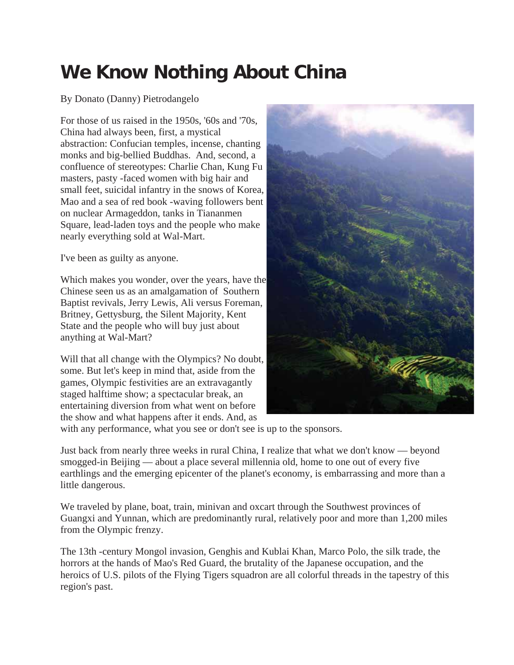## **We Know Nothing About China**

## By Donato (Danny) Pietrodangelo

For those of us raised in the 1950s, '60s and '70s, China had always been, first, a mystical abstraction: Confucian temples, incense, chanting monks and big-bellied Buddhas. And, second, a confluence of stereotypes: Charlie Chan, Kung Fu masters, pasty -faced women with big hair and small feet, suicidal infantry in the snows of Korea, Mao and a sea of red book -waving followers bent on nuclear Armageddon, tanks in Tiananmen Square, lead-laden toys and the people who make nearly everything sold at Wal-Mart.

I've been as guilty as anyone.

Which makes you wonder, over the years, have the Chinese seen us as an amalgamation of Southern Baptist revivals, Jerry Lewis, Ali versus Foreman, Britney, Gettysburg, the Silent Majority, Kent State and the people who will buy just about anything at Wal-Mart?

Will that all change with the Olympics? No doubt, some. But let's keep in mind that, aside from the games, Olympic festivities are an extravagantly staged halftime show; a spectacular break, an entertaining diversion from what went on before the show and what happens after it ends. And, as



with any performance, what you see or don't see is up to the sponsors.

Just back from nearly three weeks in rural China, I realize that what we don't know — beyond smogged-in Beijing — about a place several millennia old, home to one out of every five earthlings and the emerging epicenter of the planet's economy, is embarrassing and more than a little dangerous.

We traveled by plane, boat, train, minivan and oxcart through the Southwest provinces of Guangxi and Yunnan, which are predominantly rural, relatively poor and more than 1,200 miles from the Olympic frenzy.

The 13th -century Mongol invasion, Genghis and Kublai Khan, Marco Polo, the silk trade, the horrors at the hands of Mao's Red Guard, the brutality of the Japanese occupation, and the heroics of U.S. pilots of the Flying Tigers squadron are all colorful threads in the tapestry of this region's past.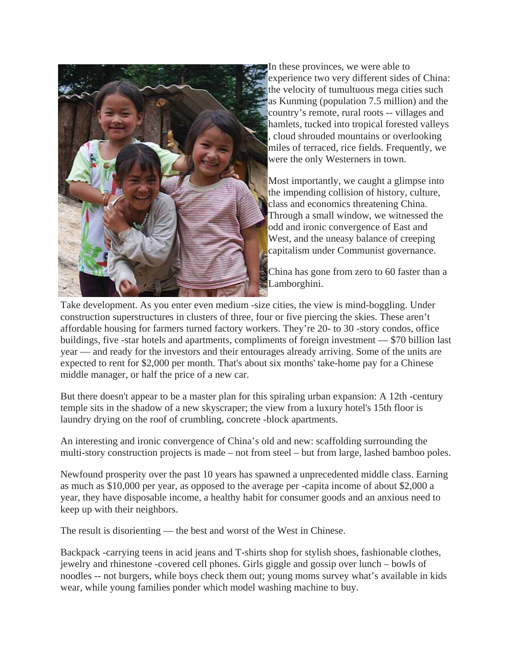

In these provinces, we were able to experience two very different sides of China: the velocity of tumultuous mega cities such as Kunming (population 7.5 million) and the country's remote, rural roots -- villages and hamlets, tucked into tropical forested valleys , cloud shrouded mountains or overlooking miles of terraced, rice fields. Frequently, we were the only Westerners in town.

Most importantly, we caught a glimpse into the impending collision of history, culture, class and economics threatening China. Through a small window, we witnessed the odd and ironic convergence of East and West, and the uneasy balance of creeping capitalism under Communist governance.

China has gone from zero to 60 faster than a Lamborghini.

Take development. As you enter even medium -size cities, the view is mind-boggling. Under construction superstructures in clusters of three, four or five piercing the skies. These aren't affordable housing for farmers turned factory workers. They're 20- to 30 -story condos, office buildings, five -star hotels and apartments, compliments of foreign investment — \$70 billion last year — and ready for the investors and their entourages already arriving. Some of the units are expected to rent for \$2,000 per month. That's about six months' take-home pay for a Chinese middle manager, or half the price of a new car.

But there doesn't appear to be a master plan for this spiraling urban expansion: A 12th -century temple sits in the shadow of a new skyscraper; the view from a luxury hotel's 15th floor is laundry drying on the roof of crumbling, concrete -block apartments.

An interesting and ironic convergence of China's old and new: scaffolding surrounding the multi-story construction projects is made – not from steel – but from large, lashed bamboo poles.

Newfound prosperity over the past 10 years has spawned a unprecedented middle class. Earning as much as \$10,000 per year, as opposed to the average per -capita income of about \$2,000 a year, they have disposable income, a healthy habit for consumer goods and an anxious need to keep up with their neighbors.

The result is disorienting — the best and worst of the West in Chinese.

Backpack -carrying teens in acid jeans and T-shirts shop for stylish shoes, fashionable clothes, jewelry and rhinestone -covered cell phones. Girls giggle and gossip over lunch – bowls of noodles -- not burgers, while boys check them out; young moms survey what's available in kids wear, while young families ponder which model washing machine to buy.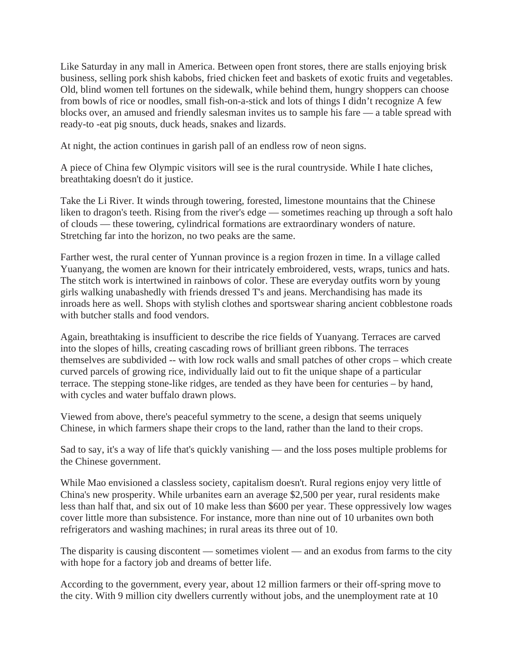Like Saturday in any mall in America. Between open front stores, there are stalls enjoying brisk business, selling pork shish kabobs, fried chicken feet and baskets of exotic fruits and vegetables. Old, blind women tell fortunes on the sidewalk, while behind them, hungry shoppers can choose from bowls of rice or noodles, small fish-on-a-stick and lots of things I didn't recognize A few blocks over, an amused and friendly salesman invites us to sample his fare — a table spread with ready-to -eat pig snouts, duck heads, snakes and lizards.

At night, the action continues in garish pall of an endless row of neon signs.

A piece of China few Olympic visitors will see is the rural countryside. While I hate cliches, breathtaking doesn't do it justice.

Take the Li River. It winds through towering, forested, limestone mountains that the Chinese liken to dragon's teeth. Rising from the river's edge — sometimes reaching up through a soft halo of clouds — these towering, cylindrical formations are extraordinary wonders of nature. Stretching far into the horizon, no two peaks are the same.

Farther west, the rural center of Yunnan province is a region frozen in time. In a village called Yuanyang, the women are known for their intricately embroidered, vests, wraps, tunics and hats. The stitch work is intertwined in rainbows of color. These are everyday outfits worn by young girls walking unabashedly with friends dressed T's and jeans. Merchandising has made its inroads here as well. Shops with stylish clothes and sportswear sharing ancient cobblestone roads with butcher stalls and food vendors.

Again, breathtaking is insufficient to describe the rice fields of Yuanyang. Terraces are carved into the slopes of hills, creating cascading rows of brilliant green ribbons. The terraces themselves are subdivided -- with low rock walls and small patches of other crops – which create curved parcels of growing rice, individually laid out to fit the unique shape of a particular terrace. The stepping stone-like ridges, are tended as they have been for centuries – by hand, with cycles and water buffalo drawn plows.

Viewed from above, there's peaceful symmetry to the scene, a design that seems uniquely Chinese, in which farmers shape their crops to the land, rather than the land to their crops.

Sad to say, it's a way of life that's quickly vanishing — and the loss poses multiple problems for the Chinese government.

While Mao envisioned a classless society, capitalism doesn't. Rural regions enjoy very little of China's new prosperity. While urbanites earn an average \$2,500 per year, rural residents make less than half that, and six out of 10 make less than \$600 per year. These oppressively low wages cover little more than subsistence. For instance, more than nine out of 10 urbanites own both refrigerators and washing machines; in rural areas its three out of 10.

The disparity is causing discontent — sometimes violent — and an exodus from farms to the city with hope for a factory job and dreams of better life.

According to the government, every year, about 12 million farmers or their off-spring move to the city. With 9 million city dwellers currently without jobs, and the unemployment rate at 10